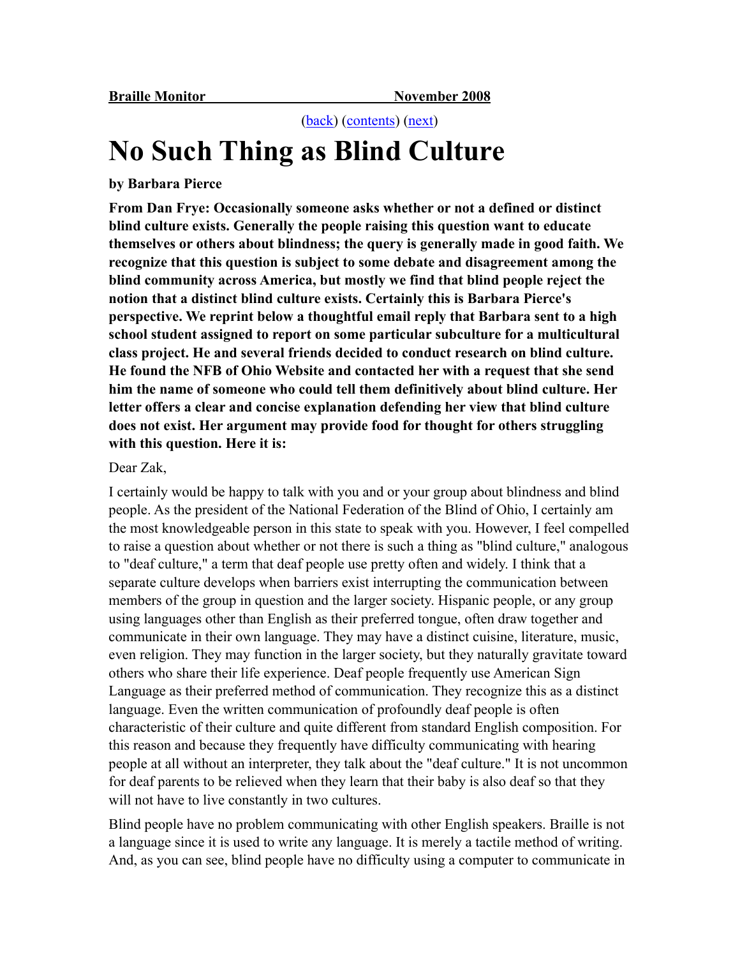[\(back](http://www.nfb.org/images/nfb/Publications/bm/bm08/bm0810/bm081006.htm)) [\(contents\)](http://www.nfb.org/images/nfb/Publications/bm/bm08/bm0810/bm0810tc.htm) ([next\)](http://www.nfb.org/images/nfb/Publications/bm/bm08/bm0810/bm081008.htm)

## **No Such Thing as Blind Culture**

## **by Barbara Pierce**

**From Dan Frye: Occasionally someone asks whether or not a defined or distinct blind culture exists. Generally the people raising this question want to educate themselves or others about blindness; the query is generally made in good faith. We recognize that this question is subject to some debate and disagreement among the blind community across America, but mostly we find that blind people reject the notion that a distinct blind culture exists. Certainly this is Barbara Pierce's perspective. We reprint below a thoughtful email reply that Barbara sent to a high school student assigned to report on some particular subculture for a multicultural class project. He and several friends decided to conduct research on blind culture. He found the NFB of Ohio Website and contacted her with a request that she send him the name of someone who could tell them definitively about blind culture. Her letter offers a clear and concise explanation defending her view that blind culture does not exist. Her argument may provide food for thought for others struggling with this question. Here it is:**

## Dear Zak,

I certainly would be happy to talk with you and or your group about blindness and blind people. As the president of the National Federation of the Blind of Ohio, I certainly am the most knowledgeable person in this state to speak with you. However, I feel compelled to raise a question about whether or not there is such a thing as "blind culture," analogous to "deaf culture," a term that deaf people use pretty often and widely. I think that a separate culture develops when barriers exist interrupting the communication between members of the group in question and the larger society. Hispanic people, or any group using languages other than English as their preferred tongue, often draw together and communicate in their own language. They may have a distinct cuisine, literature, music, even religion. They may function in the larger society, but they naturally gravitate toward others who share their life experience. Deaf people frequently use American Sign Language as their preferred method of communication. They recognize this as a distinct language. Even the written communication of profoundly deaf people is often characteristic of their culture and quite different from standard English composition. For this reason and because they frequently have difficulty communicating with hearing people at all without an interpreter, they talk about the "deaf culture." It is not uncommon for deaf parents to be relieved when they learn that their baby is also deaf so that they will not have to live constantly in two cultures.

Blind people have no problem communicating with other English speakers. Braille is not a language since it is used to write any language. It is merely a tactile method of writing. And, as you can see, blind people have no difficulty using a computer to communicate in